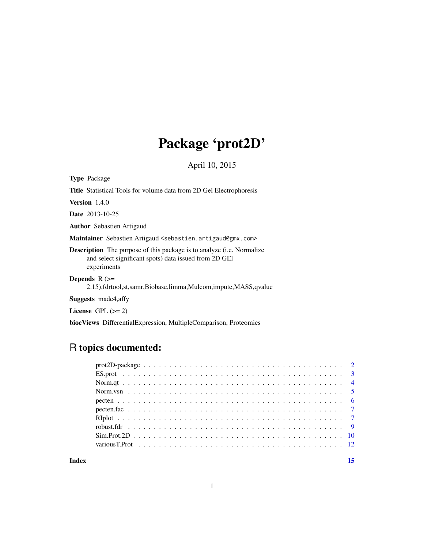## Package 'prot2D'

April 10, 2015

<span id="page-0-0"></span>Type Package

Title Statistical Tools for volume data from 2D Gel Electrophoresis

Version 1.4.0

Date 2013-10-25

Author Sebastien Artigaud

Maintainer Sebastien Artigaud <sebastien.artigaud@gmx.com>

Description The purpose of this package is to analyze (i.e. Normalize and select significant spots) data issued from 2D GEl experiments

Depends  $R$  ( $>=$ 

2.15),fdrtool,st,samr,Biobase,limma,Mulcom,impute,MASS,qvalue

Suggests made4,affy

License GPL  $(>= 2)$ 

biocViews DifferentialExpression, MultipleComparison, Proteomics

## R topics documented:

| $ES.prot \dots \dots \dots \dots \dots \dots \dots \dots \dots \dots \dots \dots \dots \dots \dots \dots \dots \dots$ |  |
|-----------------------------------------------------------------------------------------------------------------------|--|
|                                                                                                                       |  |
|                                                                                                                       |  |
|                                                                                                                       |  |
|                                                                                                                       |  |
|                                                                                                                       |  |
|                                                                                                                       |  |
|                                                                                                                       |  |
|                                                                                                                       |  |
|                                                                                                                       |  |

**Index** [15](#page-14-0)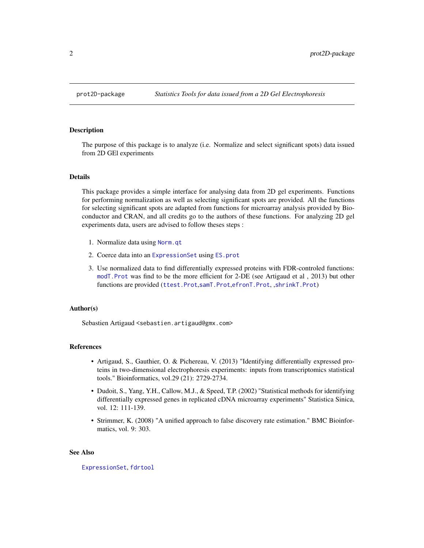#### <span id="page-1-1"></span><span id="page-1-0"></span>**Description**

The purpose of this package is to analyze (i.e. Normalize and select significant spots) data issued from 2D GEl experiments

#### Details

This package provides a simple interface for analysing data from 2D gel experiments. Functions for performing normalization as well as selecting significant spots are provided. All the functions for selecting significant spots are adapted from functions for microarray analysis provided by Bioconductor and CRAN, and all credits go to the authors of these functions. For analyzing 2D gel experiments data, users are advised to follow theses steps :

- 1. Normalize data using [Norm.qt](#page-3-1)
- 2. Coerce data into an [ExpressionSet](#page-0-0) using [ES.prot](#page-2-1)
- 3. Use normalized data to find differentially expressed proteins with FDR-controled functions: [modT.Prot](#page-11-1) was find to be the more efficient for 2-DE (see Artigaud et al , 2013) but other functions are provided ([ttest.Prot](#page-11-1),[samT.Prot](#page-11-1),[efronT.Prot](#page-11-1), ,[shrinkT.Prot](#page-11-1))

#### Author(s)

Sebastien Artigaud <sebastien.artigaud@gmx.com>

#### References

- Artigaud, S., Gauthier, O. & Pichereau, V. (2013) "Identifying differentially expressed proteins in two-dimensional electrophoresis experiments: inputs from transcriptomics statistical tools." Bioinformatics, vol.29 (21): 2729-2734.
- Dudoit, S., Yang, Y.H., Callow, M.J., & Speed, T.P. (2002) "Statistical methods for identifying differentially expressed genes in replicated cDNA microarray experiments" Statistica Sinica, vol. 12: 111-139.
- Strimmer, K. (2008) "A unified approach to false discovery rate estimation." BMC Bioinformatics, vol. 9: 303.

## See Also

[ExpressionSet](#page-0-0), [fdrtool](#page-0-0)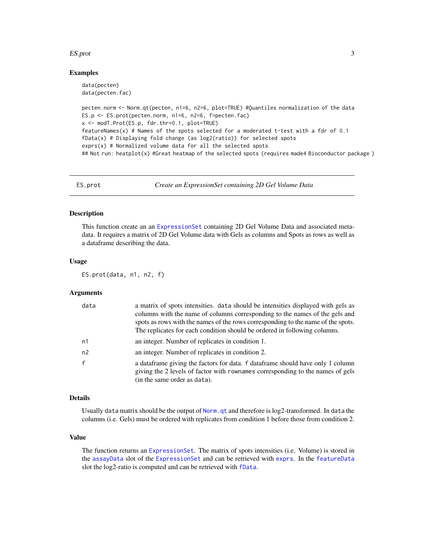#### <span id="page-2-0"></span>ES.prot 3

#### Examples

```
data(pecten)
data(pecten.fac)
pecten.norm <- Norm.qt(pecten, n1=6, n2=6, plot=TRUE) #Quantiles normalization of the data
ES.p \leq ES.prot(pecten.norm, n1=6, n2=6, f=pecten.fac)
x <- modT.Prot(ES.p, fdr.thr=0.1, plot=TRUE)
featureNames(x) # Names of the spots selected for a moderated t-test with a fdr of 0.1fbata(x) # Displaying fold change (as log2(ratio)) for selected spots
exprs(x) # Normalized volume data for all the selected spots
## Not run: heatplot(x) #Great heatmap of the selected spots (requires made4 Bioconductor package )
```
<span id="page-2-1"></span>ES.prot *Create an ExpressionSet containing 2D Gel Volume Data*

#### Description

This function create an an [ExpressionSet](#page-0-0) containing 2D Gel Volume Data and associated metadata. It requires a matrix of 2D Gel Volume data with Gels as columns and Spots as rows as well as a dataframe describing the data.

#### Usage

ES.prot(data, n1, n2, f)

## Arguments

| data           | a matrix of spots intensities, data should be intensities displayed with gels as<br>columns with the name of columns corresponding to the names of the gels and<br>spots as rows with the names of the rows corresponding to the name of the spots.<br>The replicates for each condition should be ordered in following columns. |
|----------------|----------------------------------------------------------------------------------------------------------------------------------------------------------------------------------------------------------------------------------------------------------------------------------------------------------------------------------|
| n1             | an integer. Number of replicates in condition 1.                                                                                                                                                                                                                                                                                 |
| n <sub>2</sub> | an integer. Number of replicates in condition 2.                                                                                                                                                                                                                                                                                 |
| $\mathbf{f}$   | a data frame giving the factors for data. f data frame should have only 1 column<br>giving the 2 levels of factor with rownames corresponding to the names of gels<br>(in the same order as data).                                                                                                                               |

#### Details

Usually data matrix should be the output of [Norm.qt](#page-3-1) and therefore is log2-transformed. In data the columns (i.e. Gels) must be ordered with replicates from condition 1 before those from condition 2.

## Value

The function returns an [ExpressionSet](#page-0-0). The matrix of spots intensities (i.e. Volume) is stored in the [assayData](#page-0-0) slot of the [ExpressionSet](#page-0-0) and can be retrieved with [exprs](#page-0-0). In the [featureData](#page-0-0) slot the log2-ratio is computed and can be retrieved with [fData](#page-0-0).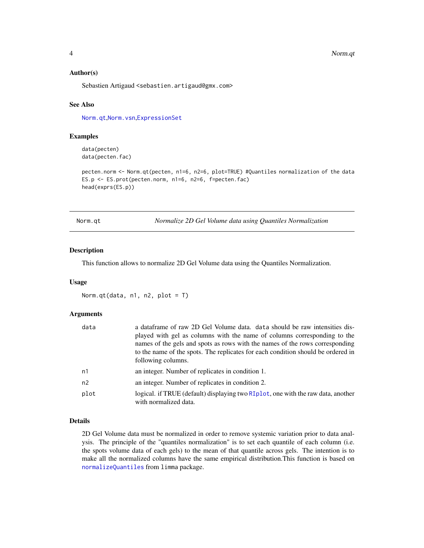#### <span id="page-3-0"></span>4 Norm.qt

#### Author(s)

Sebastien Artigaud <sebastien.artigaud@gmx.com>

#### See Also

[Norm.qt](#page-3-1),[Norm.vsn](#page-4-1),[ExpressionSet](#page-0-0)

## Examples

data(pecten) data(pecten.fac)

pecten.norm <- Norm.qt(pecten, n1=6, n2=6, plot=TRUE) #Quantiles normalization of the data ES.p <- ES.prot(pecten.norm, n1=6, n2=6, f=pecten.fac) head(exprs(ES.p))

<span id="page-3-1"></span>Norm.qt *Normalize 2D Gel Volume data using Quantiles Normalization*

## Description

This function allows to normalize 2D Gel Volume data using the Quantiles Normalization.

## Usage

```
Norm.qt(data, n1, n2, plot = T)
```
#### Arguments

| data           | a data frame of raw 2D Gel Volume data. data should be raw intensities dis-                               |
|----------------|-----------------------------------------------------------------------------------------------------------|
|                | played with gel as columns with the name of columns corresponding to the                                  |
|                | names of the gels and spots as rows with the names of the rows corresponding                              |
|                | to the name of the spots. The replicates for each condition should be ordered in                          |
|                | following columns.                                                                                        |
| n1             | an integer. Number of replicates in condition 1.                                                          |
| n <sub>2</sub> | an integer. Number of replicates in condition 2.                                                          |
| plot           | logical. if TRUE (default) displaying two RIplot, one with the raw data, another<br>with normalized data. |

## Details

2D Gel Volume data must be normalized in order to remove systemic variation prior to data analysis. The principle of the "quantiles normalization" is to set each quantile of each column (i.e. the spots volume data of each gels) to the mean of that quantile across gels. The intention is to make all the normalized columns have the same empirical distribution.This function is based on [normalizeQuantiles](#page-0-0) from limma package.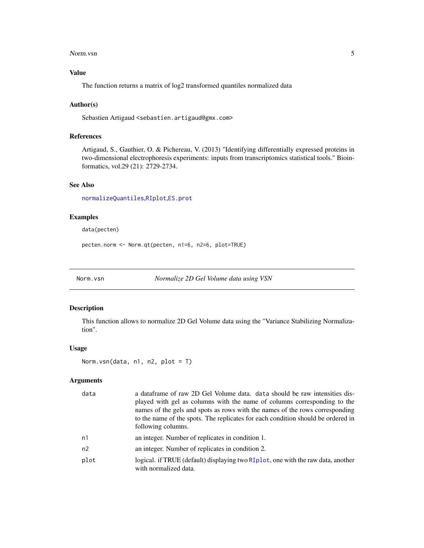#### <span id="page-4-0"></span>Norm. vsn 35

## Value

The function returns a matrix of log2 transformed quantiles normalized data

#### Author(s)

Sebastien Artigaud <sebastien.artigaud@gmx.com>

## References

Artigaud, S., Gauthier, O. & Pichereau, V. (2013) "Identifying differentially expressed proteins in two-dimensional electrophoresis experiments: inputs from transcriptomics statistical tools." Bioinformatics, vol.29 (21): 2729-2734.

## See Also

[normalizeQuantiles](#page-0-0),[RIplot](#page-6-1),[ES.prot](#page-2-1)

## Examples

data(pecten)

pecten.norm <- Norm.qt(pecten, n1=6, n2=6, plot=TRUE)

<span id="page-4-1"></span>Norm.vsn *Normalize 2D Gel Volume data using VSN*

## Description

This function allows to normalize 2D Gel Volume data using the "Variance Stabilizing Normalization".

#### Usage

```
Norm.vsn(data, n1, n2, plot = T)
```
## Arguments

| data | a data frame of raw 2D Gel Volume data. data should be raw intensities dis-<br>played with gel as columns with the name of columns corresponding to the<br>names of the gels and spots as rows with the names of the rows corresponding<br>to the name of the spots. The replicates for each condition should be ordered in<br>following columns. |
|------|---------------------------------------------------------------------------------------------------------------------------------------------------------------------------------------------------------------------------------------------------------------------------------------------------------------------------------------------------|
| n1   | an integer. Number of replicates in condition 1.                                                                                                                                                                                                                                                                                                  |
| n2   | an integer. Number of replicates in condition 2.                                                                                                                                                                                                                                                                                                  |
| plot | logical. if TRUE (default) displaying two RIplot, one with the raw data, another<br>with normalized data.                                                                                                                                                                                                                                         |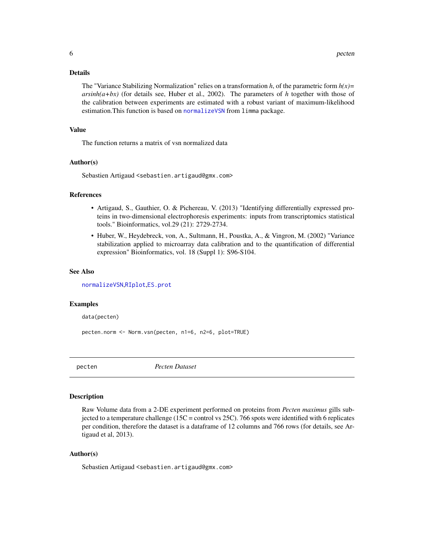#### <span id="page-5-0"></span>Details

The "Variance Stabilizing Normalization" relies on a transformation *h*, of the parametric form *h(x)= arsinh(a+bx)* (for details see, Huber et al., 2002). The parameters of *h* together with those of the calibration between experiments are estimated with a robust variant of maximum-likelihood estimation.This function is based on [normalizeVSN](#page-0-0) from limma package.

## Value

The function returns a matrix of vsn normalized data

#### Author(s)

Sebastien Artigaud <sebastien.artigaud@gmx.com>

#### References

- Artigaud, S., Gauthier, O. & Pichereau, V. (2013) "Identifying differentially expressed proteins in two-dimensional electrophoresis experiments: inputs from transcriptomics statistical tools." Bioinformatics, vol.29 (21): 2729-2734.
- Huber, W., Heydebreck, von, A., Sultmann, H., Poustka, A., & Vingron, M. (2002) "Variance stabilization applied to microarray data calibration and to the quantification of differential expression" Bioinformatics, vol. 18 (Suppl 1): S96-S104.

#### See Also

[normalizeVSN](#page-0-0),[RIplot](#page-6-1),[ES.prot](#page-2-1)

#### Examples

data(pecten)

pecten.norm <- Norm.vsn(pecten, n1=6, n2=6, plot=TRUE)

<span id="page-5-1"></span>

pecten *Pecten Dataset*

#### Description

Raw Volume data from a 2-DE experiment performed on proteins from *Pecten maximus* gills subjected to a temperature challenge (15C = control vs 25C). 766 spots were identified with 6 replicates per condition, therefore the dataset is a dataframe of 12 columns and 766 rows (for details, see Artigaud et al, 2013).

#### Author(s)

Sebastien Artigaud <sebastien.artigaud@gmx.com>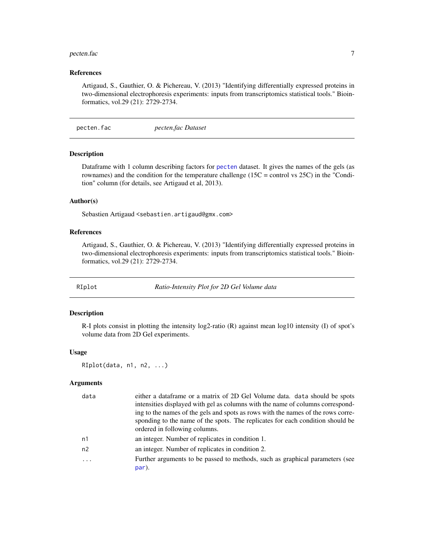#### <span id="page-6-0"></span>pecten.fac 7 and 3 and 3 and 3 and 3 and 3 and 3 and 3 and 3 and 3 and 3 and 3 and 3 and 3 and 3 and 3 and 3 and 3 and 3 and 3 and 3 and 3 and 3 and 3 and 3 and 3 and 3 and 3 and 3 and 3 and 3 and 3 and 3 and 3 and 3 and 3

#### References

Artigaud, S., Gauthier, O. & Pichereau, V. (2013) "Identifying differentially expressed proteins in two-dimensional electrophoresis experiments: inputs from transcriptomics statistical tools." Bioinformatics, vol.29 (21): 2729-2734.

pecten.fac *pecten.fac Dataset*

## Description

Dataframe with 1 column describing factors for [pecten](#page-5-1) dataset. It gives the names of the gels (as rownames) and the condition for the temperature challenge ( $15C =$  control vs  $25C$ ) in the "Condition" column (for details, see Artigaud et al, 2013).

## Author(s)

Sebastien Artigaud <sebastien.artigaud@gmx.com>

#### References

Artigaud, S., Gauthier, O. & Pichereau, V. (2013) "Identifying differentially expressed proteins in two-dimensional electrophoresis experiments: inputs from transcriptomics statistical tools." Bioinformatics, vol.29 (21): 2729-2734.

<span id="page-6-1"></span>RIplot *Ratio-Intensity Plot for 2D Gel Volume data*

#### Description

R-I plots consist in plotting the intensity log2-ratio (R) against mean log10 intensity (I) of spot's volume data from 2D Gel experiments.

#### Usage

RIplot(data, n1, n2, ...)

#### Arguments

| data | either a dataframe or a matrix of 2D Gel Volume data. data should be spots            |
|------|---------------------------------------------------------------------------------------|
|      | intensities displayed with gel as columns with the name of columns correspond-        |
|      | ing to the names of the gels and spots as rows with the names of the rows corre-      |
|      | sponding to the name of the spots. The replicates for each condition should be        |
|      | ordered in following columns.                                                         |
| n1   | an integer. Number of replicates in condition 1.                                      |
| n2   | an integer. Number of replicates in condition 2.                                      |
| .    | Further arguments to be passed to methods, such as graphical parameters (see<br>par). |
|      |                                                                                       |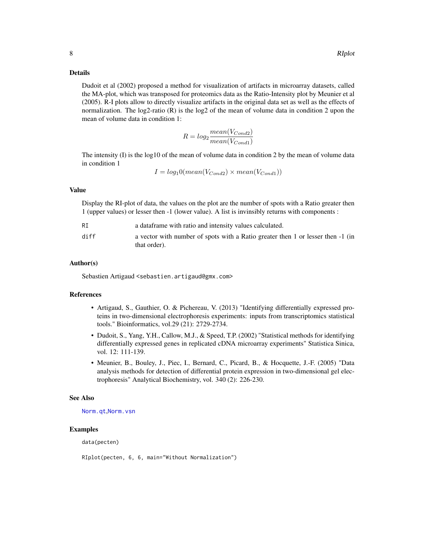#### Details

Dudoit et al (2002) proposed a method for visualization of artifacts in microarray datasets, called the MA-plot, which was transposed for proteomics data as the Ratio-Intensity plot by Meunier et al (2005). R-I plots allow to directly visualize artifacts in the original data set as well as the effects of normalization. The log2-ratio (R) is the log2 of the mean of volume data in condition 2 upon the mean of volume data in condition 1:

$$
R = log_2 \frac{mean(V_{Cond2})}{mean(V_{Cond1})}
$$

The intensity (I) is the log10 of the mean of volume data in condition 2 by the mean of volume data in condition 1

$$
I = log_10(mean(V_{Cond2}) \times mean(V_{Cond1}))
$$

## Value

Display the RI-plot of data, the values on the plot are the number of spots with a Ratio greater then 1 (upper values) or lesser then -1 (lower value). A list is invinsibly returns with components :

| RI   | a dataframe with ratio and intensity values calculated.                                         |
|------|-------------------------------------------------------------------------------------------------|
| diff | a vector with number of spots with a Ratio greater then 1 or lesser then -1 (in<br>that order). |

#### Author(s)

Sebastien Artigaud <sebastien.artigaud@gmx.com>

#### References

- Artigaud, S., Gauthier, O. & Pichereau, V. (2013) "Identifying differentially expressed proteins in two-dimensional electrophoresis experiments: inputs from transcriptomics statistical tools." Bioinformatics, vol.29 (21): 2729-2734.
- Dudoit, S., Yang, Y.H., Callow, M.J., & Speed, T.P. (2002) "Statistical methods for identifying differentially expressed genes in replicated cDNA microarray experiments" Statistica Sinica, vol. 12: 111-139.
- Meunier, B., Bouley, J., Piec, I., Bernard, C., Picard, B., & Hocquette, J.-F. (2005) "Data analysis methods for detection of differential protein expression in two-dimensional gel electrophoresis" Analytical Biochemistry, vol. 340 (2): 226-230.

#### See Also

[Norm.qt](#page-3-1),[Norm.vsn](#page-4-1)

#### Examples

data(pecten)

RIplot(pecten, 6, 6, main="Without Normalization")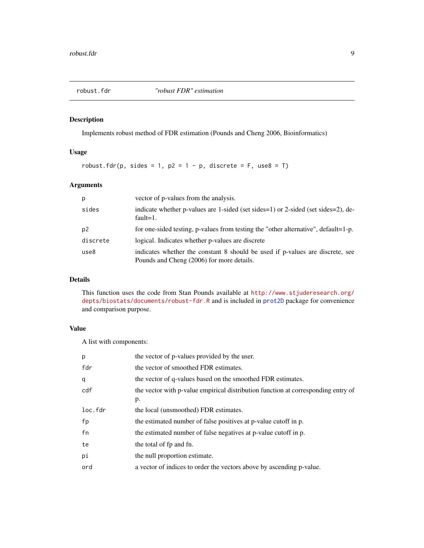<span id="page-8-1"></span><span id="page-8-0"></span>

## Description

Implements robust method of FDR estimation (Pounds and Cheng 2006, Bioinformatics)

## Usage

```
robust.fdr(p, sides = 1, p2 = 1 - p, discrete = F, use8 = T)
```
## Arguments

| p        | vector of p-values from the analysis.                                                                                      |
|----------|----------------------------------------------------------------------------------------------------------------------------|
| sides    | indicate whether p-values are 1-sided (set sides=1) or 2-sided (set sides=2), de-<br>fault= $1$ .                          |
| p2       | for one-sided testing, p-values from testing the "other alternative", default=1-p.                                         |
| discrete | logical. Indicates whether p-values are discrete                                                                           |
| use8     | indicates whether the constant 8 should be used if p-values are discrete, see<br>Pounds and Cheng (2006) for more details. |

## Details

This function uses the code from Stan Pounds available at [http://www.stjuderesearch.org/](http://www.stjuderesearch.org/depts/biostats/documents/robust-fdr.R) [depts/biostats/documents/robust-fdr.R](http://www.stjuderesearch.org/depts/biostats/documents/robust-fdr.R) and is included in [prot2D](#page-1-1) package for convenience and comparison purpose.

## Value

A list with components:

| p       | the vector of p-values provided by the user.                                            |
|---------|-----------------------------------------------------------------------------------------|
| fdr     | the vector of smoothed FDR estimates.                                                   |
| q       | the vector of q-values based on the smoothed FDR estimates.                             |
| cdf     | the vector with p-value empirical distribution function at corresponding entry of<br>p. |
| loc.fdr | the local (unsmoothed) FDR estimates.                                                   |
| fp      | the estimated number of false positives at p-value cutoff in p.                         |
| fn      | the estimated number of false negatives at p-value cutoff in p.                         |
| te      | the total of fp and fn.                                                                 |
| pi      | the null proportion estimate.                                                           |
| ord     | a vector of indices to order the vectors above by ascending p-value.                    |
|         |                                                                                         |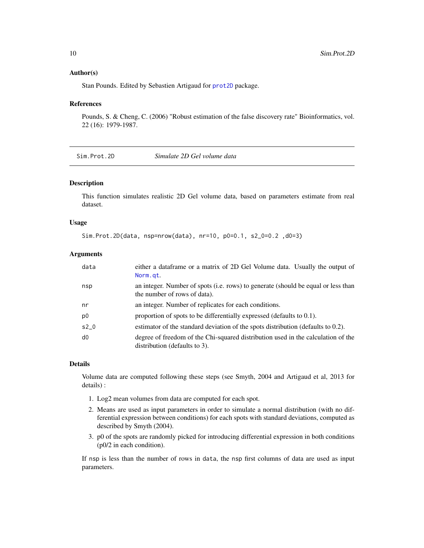#### <span id="page-9-0"></span>Author(s)

Stan Pounds. Edited by Sebastien Artigaud for [prot2D](#page-1-1) package.

#### References

Pounds, S. & Cheng, C. (2006) "Robust estimation of the false discovery rate" Bioinformatics, vol. 22 (16): 1979-1987.

| Sim.Prot.2D | Simulate 2D Gel volume data |
|-------------|-----------------------------|
|-------------|-----------------------------|

## Description

This function simulates realistic 2D Gel volume data, based on parameters estimate from real dataset.

#### Usage

```
Sim.Prot.2D(data, nsp=nrow(data), nr=10, p0=0.1, s2_0=0.2 ,d0=3)
```
#### Arguments

| data           | either a data frame or a matrix of 2D Gel Volume data. Usually the output of<br>Norm.gt.                          |
|----------------|-------------------------------------------------------------------------------------------------------------------|
| nsp            | an integer. Number of spots (i.e. rows) to generate (should be equal or less than<br>the number of rows of data). |
| nr             | an integer. Number of replicates for each conditions.                                                             |
| p <sub>0</sub> | proportion of spots to be differentially expressed (defaults to $0.1$ ).                                          |
| $s2_0$         | estimator of the standard deviation of the spots distribution (defaults to 0.2).                                  |
| d0             | degree of freedom of the Chi-squared distribution used in the calculation of the<br>distribution (defaults to 3). |

#### Details

Volume data are computed following these steps (see Smyth, 2004 and Artigaud et al, 2013 for details) :

- 1. Log2 mean volumes from data are computed for each spot.
- 2. Means are used as input parameters in order to simulate a normal distribution (with no differential expression between conditions) for each spots with standard deviations, computed as described by Smyth (2004).
- 3. p0 of the spots are randomly picked for introducing differential expression in both conditions (p0/2 in each condition).

If nsp is less than the number of rows in data, the nsp first columns of data are used as input parameters.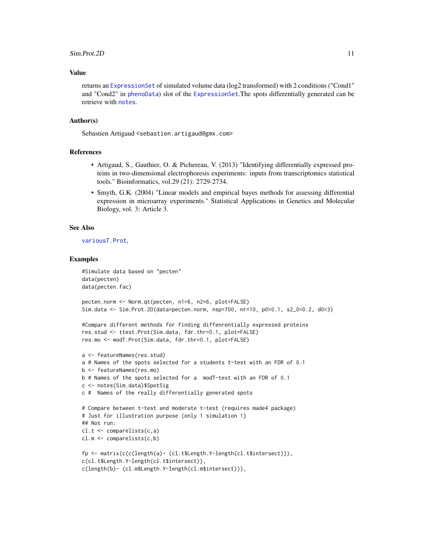#### Sim.Prot.2D 11

#### Value

returns an [ExpressionSet](#page-0-0) of simulated volume data (log2 transformed) with 2 conditions ("Cond1" and "Cond2" in [phenoData](#page-0-0)) slot of the [ExpressionSet](#page-0-0).The spots differentially generated can be retrieve with [notes](#page-0-0).

#### Author(s)

Sebastien Artigaud <sebastien.artigaud@gmx.com>

## References

- Artigaud, S., Gauthier, O. & Pichereau, V. (2013) "Identifying differentially expressed proteins in two-dimensional electrophoresis experiments: inputs from transcriptomics statistical tools." Bioinformatics, vol.29 (21): 2729-2734.
- Smyth, G.K. (2004) "Linear models and empirical bayes methods for assessing differential expression in microarray experiments." Statistical Applications in Genetics and Molecular Biology, vol. 3: Article 3.

## See Also

#### [variousT.Prot](#page-11-2),

#### Examples

```
#Simulate data based on "pecten"
data(pecten)
data(pecten.fac)
pecten.norm <- Norm.qt(pecten, n1=6, n2=6, plot=FALSE)
Sim.data <- Sim.Prot.2D(data=pecten.norm, nsp=700, nr=10, p0=0.1, s2_0=0.2, d0=3)
#Compare different methods for finding diffenrentially expressed proteins
res.stud <- ttest.Prot(Sim.data, fdr.thr=0.1, plot=FALSE)
res.mo <- modT.Prot(Sim.data, fdr.thr=0.1, plot=FALSE)
a <- featureNames(res.stud)
a # Names of the spots selected for a students t-test with an FDR of 0.1
b <- featureNames(res.mo)
b # Names of the spots selected for a modT-test with an FDR of 0.1
c <- notes(Sim.data)$SpotSig
c # Names of the really differentially generated spots
# Compare between t-test and moderate t-test (requires made4 package)
# Just for illustration purpose (only 1 simulation !)
## Not run:
cl.t <- comparelists(c,a)
cl.m <- comparelists(c,b)
fp <- matrix(c(c(length(a)- (cl.t$Length.Y-length(cl.t$intersect))),
c(cl.t$Length.Y-length(cl.t$intersect)),
c(length(b)- (cl.m$Length.Y-length(cl.m$intersect))),
```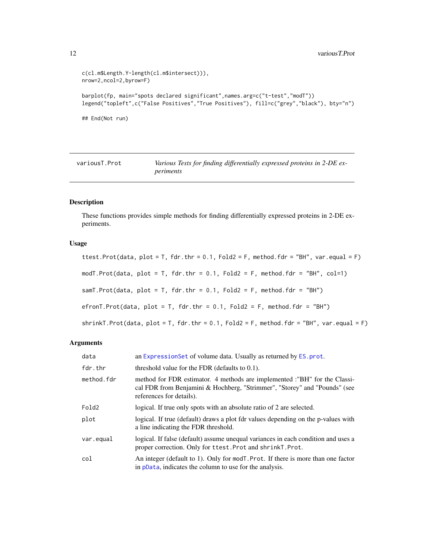```
c(cl.m$Length.Y-length(cl.m$intersect))),
nrow=2,ncol=2,byrow=F)
barplot(fp, main="spots declared significant",names.arg=c("t-test","modT"))
legend("topleft",c("False Positives","True Positives"), fill=c("grey","black"), bty="n")
## End(Not run)
```
<span id="page-11-2"></span>variousT.Prot *Various Tests for finding differentially expressed proteins in 2-DE experiments*

## <span id="page-11-1"></span>Description

These functions provides simple methods for finding differentially expressed proteins in 2-DE experiments.

## Usage

ttest.Prot(data, plot = T, fdr.thr =  $0.1$ , Fold2 = F, method.fdr = "BH", var.equal = F) modT.Prot(data, plot = T, fdr.thr =  $0.1$ , Fold2 = F, method.fdr = "BH", col=1) samT.Prot(data, plot = T, fdr.thr =  $0.1$ , Fold2 = F, method.fdr = "BH") efronT.Prot(data, plot = T, fdr.thr =  $0.1$ , Fold2 = F, method.fdr = "BH")  $shrinkT.Prot(data, plot = T, fdr.thr = 0.1, Fold2 = F, method.fdr = "BH", var.equals = F)$ 

#### Arguments

| data       | an Expression Set of volume data. Usually as returned by ES, prot.                                                                                                                 |
|------------|------------------------------------------------------------------------------------------------------------------------------------------------------------------------------------|
| fdr.thr    | threshold value for the FDR (defaults to $0.1$ ).                                                                                                                                  |
| method.fdr | method for FDR estimator. 4 methods are implemented :"BH" for the Classi-<br>cal FDR from Benjamini & Hochberg, "Strimmer", "Storey" and "Pounds" (see<br>references for details). |
| Fold2      | logical. If true only spots with an absolute ratio of 2 are selected.                                                                                                              |
| plot       | logical. If true (default) draws a plot fdr values depending on the p-values with<br>a line indicating the FDR threshold.                                                          |
| var.equal  | logical. If false (default) assume unequal variances in each condition and uses a<br>proper correction. Only for ttest. Prot and shrinkT. Prot.                                    |
| col        | An integer (default to 1). Only for mod <sub>T</sub> . Prot. If there is more than one factor<br>in pData, indicates the column to use for the analysis.                           |

<span id="page-11-0"></span>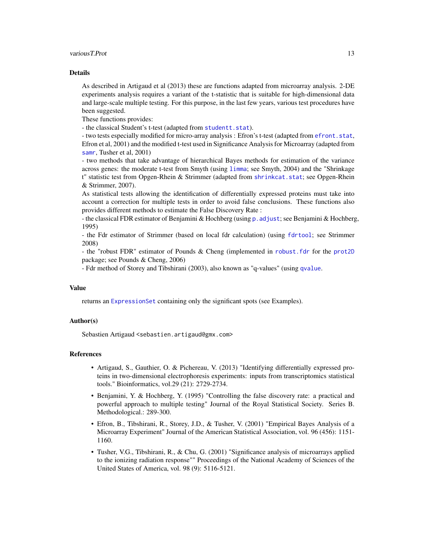#### variousT.Prot 13

#### Details

As described in Artigaud et al (2013) these are functions adapted from microarray analysis. 2-DE experiments analysis requires a variant of the t-statistic that is suitable for high-dimensional data and large-scale multiple testing. For this purpose, in the last few years, various test procedures have been suggested.

These functions provides:

- the classical Student's t-test (adapted from [studentt.stat](#page-0-0)).

- two tests especially modified for micro-array analysis : Efron's t-test (adapted from [efront.stat](#page-0-0), Efron et al, 2001) and the modified t-test used in Significance Analysis for Microarray (adapted from [samr](#page-0-0), Tusher et al, 2001)

- two methods that take advantage of hierarchical Bayes methods for estimation of the variance across genes: the moderate t-test from Smyth (using [limma](#page-0-0); see Smyth, 2004) and the "Shrinkage t" statistic test from Opgen-Rhein & Strimmer (adapted from [shrinkcat.stat](#page-0-0); see Opgen-Rhein & Strimmer, 2007).

As statistical tests allowing the identification of differentially expressed proteins must take into account a correction for multiple tests in order to avoid false conclusions. These functions also provides different methods to estimate the False Discovery Rate :

- the classical FDR estimator of Benjamini & Hochberg (using [p.adjust](#page-0-0); see Benjamini & Hochberg, 1995)

- the Fdr estimator of Strimmer (based on local fdr calculation) (using [fdrtool](#page-0-0); see Strimmer 2008)

- the "robust FDR" estimator of Pounds & Cheng (implemented in [robust.fdr](#page-8-1) for the [prot2D](#page-1-1) package; see Pounds & Cheng, 2006)

- Fdr method of Storey and Tibshirani (2003), also known as "q-values" (using [qvalue](#page-0-0).

#### Value

returns an [ExpressionSet](#page-0-0) containing only the significant spots (see Examples).

#### Author(s)

Sebastien Artigaud <sebastien.artigaud@gmx.com>

#### References

- Artigaud, S., Gauthier, O. & Pichereau, V. (2013) "Identifying differentially expressed proteins in two-dimensional electrophoresis experiments: inputs from transcriptomics statistical tools." Bioinformatics, vol.29 (21): 2729-2734.
- Benjamini, Y. & Hochberg, Y. (1995) "Controlling the false discovery rate: a practical and powerful approach to multiple testing" Journal of the Royal Statistical Society. Series B. Methodological.: 289-300.
- Efron, B., Tibshirani, R., Storey, J.D., & Tusher, V. (2001) "Empirical Bayes Analysis of a Microarray Experiment" Journal of the American Statistical Association, vol. 96 (456): 1151- 1160.
- Tusher, V.G., Tibshirani, R., & Chu, G. (2001) "Significance analysis of microarrays applied to the ionizing radiation response"" Proceedings of the National Academy of Sciences of the United States of America, vol. 98 (9): 5116-5121.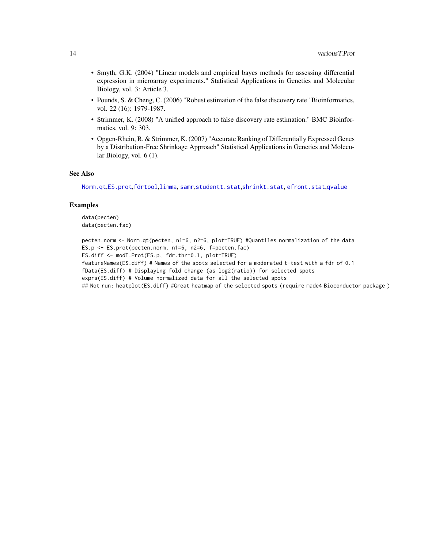- Smyth, G.K. (2004) "Linear models and empirical bayes methods for assessing differential expression in microarray experiments." Statistical Applications in Genetics and Molecular Biology, vol. 3: Article 3.
- Pounds, S. & Cheng, C. (2006) "Robust estimation of the false discovery rate" Bioinformatics, vol. 22 (16): 1979-1987.
- Strimmer, K. (2008) "A unified approach to false discovery rate estimation." BMC Bioinformatics, vol. 9: 303.
- Opgen-Rhein, R. & Strimmer, K. (2007) "Accurate Ranking of Differentially Expressed Genes by a Distribution-Free Shrinkage Approach" Statistical Applications in Genetics and Molecular Biology, vol. 6 (1).

#### See Also

[Norm.qt](#page-3-1),[ES.prot](#page-2-1),[fdrtool](#page-0-0),[limma](#page-0-0), [samr](#page-0-0),[studentt.stat](#page-0-0),[shrinkt.stat](#page-0-0), [efront.stat](#page-0-0),[qvalue](#page-0-0)

## Examples

```
data(pecten)
data(pecten.fac)
```

```
pecten.norm <- Norm.qt(pecten, n1=6, n2=6, plot=TRUE) #Quantiles normalization of the data
ES.p <- ES.prot(pecten.norm, n1=6, n2=6, f=pecten.fac)
ES.diff <- modT.Prot(ES.p, fdr.thr=0.1, plot=TRUE)
featureNames(ES.diff) # Names of the spots selected for a moderated t-test with a fdr of 0.1
fData(ES.diff) # Displaying fold change (as log2(ratio)) for selected spots
exprs(ES.diff) # Volume normalized data for all the selected spots
## Not run: heatplot(ES.diff) #Great heatmap of the selected spots (require made4 Bioconductor package )
```